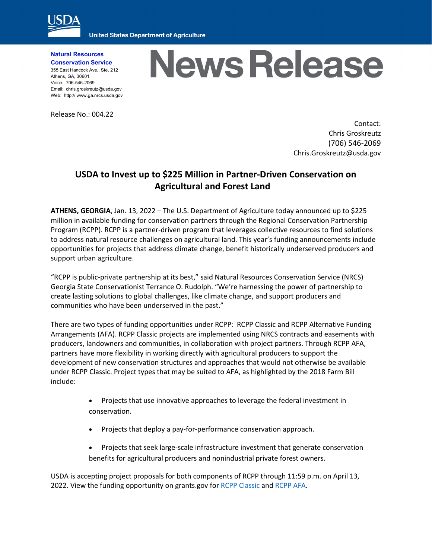

**United States Department of Agriculture** 

**Natural Resources Conservation Service**

355 East Hancock Ave., Ste. 212 Athens, GA, 30601 Voice: 706-546-2069 Email: chris.groskreutz@usda.gov Web: http:// www.ga.nrcs.usda.gov

## Release No.: 004.22

## **News Release**

Contact: Chris Groskreutz (706) 546-2069 Chris.Groskreutz@usda.gov

## **USDA to Invest up to \$225 Million in Partner-Driven Conservation on Agricultural and Forest Land**

**ATHENS, GEORGIA**, Jan. 13, 2022 – The U.S. Department of Agriculture today announced up to \$225 million in available funding for conservation partners through the Regional Conservation Partnership Program (RCPP). RCPP is a partner-driven program that leverages collective resources to find solutions to address natural resource challenges on agricultural land. This year's funding announcements include opportunities for projects that address climate change, benefit historically underserved producers and support urban agriculture.

"RCPP is public-private partnership at its best," said Natural Resources Conservation Service (NRCS) Georgia State Conservationist Terrance O. Rudolph. "We're harnessing the power of partnership to create lasting solutions to global challenges, like climate change, and support producers and communities who have been underserved in the past."

There are two types of funding opportunities under RCPP: RCPP Classic and RCPP Alternative Funding Arrangements (AFA). RCPP Classic projects are implemented using NRCS contracts and easements with producers, landowners and communities, in collaboration with project partners. Through RCPP AFA, partners have more flexibility in working directly with agricultural producers to support the development of new conservation structures and approaches that would not otherwise be available under RCPP Classic. Project types that may be suited to AFA, as highlighted by the 2018 Farm Bill include:

- Projects that use innovative approaches to leverage the federal investment in conservation.
- Projects that deploy a pay-for-performance conservation approach.
- Projects that seek large-scale infrastructure investment that generate conservation benefits for agricultural producers and nonindustrial private forest owners.

USDA is accepting project proposals for both components of RCPP through 11:59 p.m. on April 13, 2022. View the funding opportunity on grants.gov for [RCPP Classic](https://gcc02.safelinks.protection.outlook.com/?url=https%3A%2F%2Fwww.grants.gov%2Fweb%2Fgrants%2Fview-opportunity.html%3FoppId%3D337340&data=04%7C01%7C%7C2ce0641822184a1e37f008d9d6953859%7Ced5b36e701ee4ebc867ee03cfa0d4697%7C0%7C0%7C637776758646257505%7CUnknown%7CTWFpbGZsb3d8eyJWIjoiMC4wLjAwMDAiLCJQIjoiV2luMzIiLCJBTiI6Ik1haWwiLCJXVCI6Mn0%3D%7C3000&sdata=2Suq%2BPkoybeJxmPjxOnbEAjN%2Bccm4iYSskSRyd%2Fj3jQ%3D&reserved=0) and [RCPP AFA.](https://gcc02.safelinks.protection.outlook.com/?url=https%3A%2F%2Fwww.grants.gov%2Fweb%2Fgrants%2Fview-opportunity.html%3FoppId%3D337341&data=04%7C01%7C%7C2ce0641822184a1e37f008d9d6953859%7Ced5b36e701ee4ebc867ee03cfa0d4697%7C0%7C0%7C637776758646257505%7CUnknown%7CTWFpbGZsb3d8eyJWIjoiMC4wLjAwMDAiLCJQIjoiV2luMzIiLCJBTiI6Ik1haWwiLCJXVCI6Mn0%3D%7C3000&sdata=BbfwP7DGo8on7%2B1%2FN6K2zL%2BkgJNNMijCOc7nON7pnfM%3D&reserved=0)